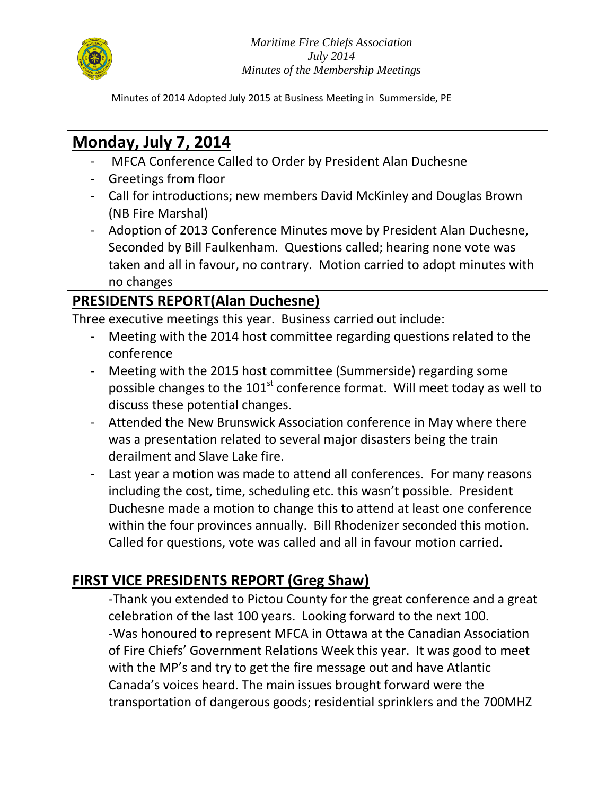

Minutes of 2014 Adopted July 2015 at Business Meeting in Summerside, PE

# **Monday, July 7, 2014**

- MFCA Conference Called to Order by President Alan Duchesne
- Greetings from floor
- Call for introductions; new members David McKinley and Douglas Brown (NB Fire Marshal)
- Adoption of 2013 Conference Minutes move by President Alan Duchesne, Seconded by Bill Faulkenham. Questions called; hearing none vote was taken and all in favour, no contrary. Motion carried to adopt minutes with no changes

## **PRESIDENTS REPORT(Alan Duchesne)**

Three executive meetings this year. Business carried out include:

- Meeting with the 2014 host committee regarding questions related to the conference
- Meeting with the 2015 host committee (Summerside) regarding some possible changes to the  $101<sup>st</sup>$  conference format. Will meet today as well to discuss these potential changes.
- Attended the New Brunswick Association conference in May where there was a presentation related to several major disasters being the train derailment and Slave Lake fire.
- Last year a motion was made to attend all conferences. For many reasons including the cost, time, scheduling etc. this wasn't possible. President Duchesne made a motion to change this to attend at least one conference within the four provinces annually. Bill Rhodenizer seconded this motion. Called for questions, vote was called and all in favour motion carried.

## **FIRST VICE PRESIDENTS REPORT (Greg Shaw)**

-Thank you extended to Pictou County for the great conference and a great celebration of the last 100 years. Looking forward to the next 100. -Was honoured to represent MFCA in Ottawa at the Canadian Association of Fire Chiefs' Government Relations Week this year. It was good to meet with the MP's and try to get the fire message out and have Atlantic Canada's voices heard. The main issues brought forward were the transportation of dangerous goods; residential sprinklers and the 700MHZ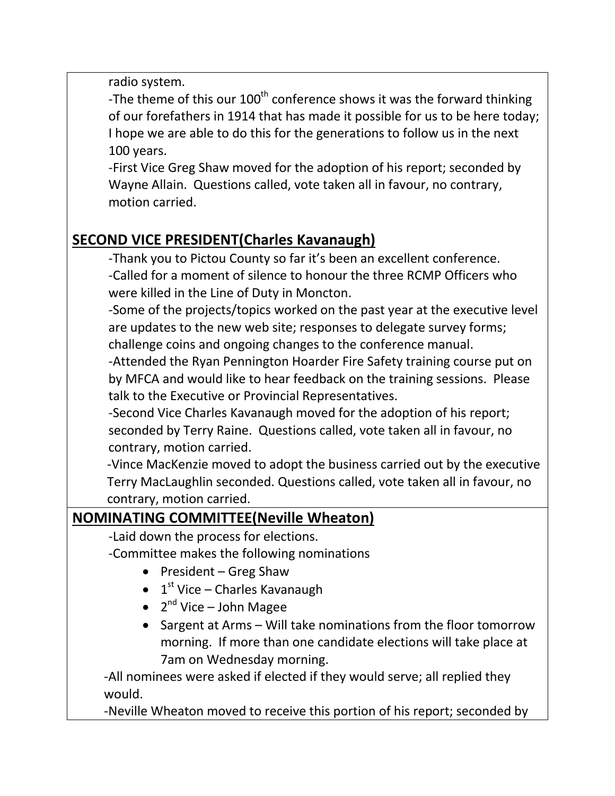radio system.

-The theme of this our 100<sup>th</sup> conference shows it was the forward thinking of our forefathers in 1914 that has made it possible for us to be here today; I hope we are able to do this for the generations to follow us in the next 100 years.

-First Vice Greg Shaw moved for the adoption of his report; seconded by Wayne Allain. Questions called, vote taken all in favour, no contrary, motion carried.

## **SECOND VICE PRESIDENT(Charles Kavanaugh)**

-Thank you to Pictou County so far it's been an excellent conference. -Called for a moment of silence to honour the three RCMP Officers who were killed in the Line of Duty in Moncton.

-Some of the projects/topics worked on the past year at the executive level are updates to the new web site; responses to delegate survey forms; challenge coins and ongoing changes to the conference manual.

-Attended the Ryan Pennington Hoarder Fire Safety training course put on by MFCA and would like to hear feedback on the training sessions. Please talk to the Executive or Provincial Representatives.

-Second Vice Charles Kavanaugh moved for the adoption of his report; seconded by Terry Raine. Questions called, vote taken all in favour, no contrary, motion carried.

 -Vince MacKenzie moved to adopt the business carried out by the executive Terry MacLaughlin seconded. Questions called, vote taken all in favour, no contrary, motion carried.

## **NOMINATING COMMITTEE(Neville Wheaton)**

- -Laid down the process for elections.
- -Committee makes the following nominations
	- $\bullet$  President Greg Shaw
	- $\bullet$  1<sup>st</sup> Vice Charles Kavanaugh
	- 2<sup>nd</sup> Vice John Magee
	- Sargent at Arms Will take nominations from the floor tomorrow morning. If more than one candidate elections will take place at 7am on Wednesday morning.

 -All nominees were asked if elected if they would serve; all replied they would.

-Neville Wheaton moved to receive this portion of his report; seconded by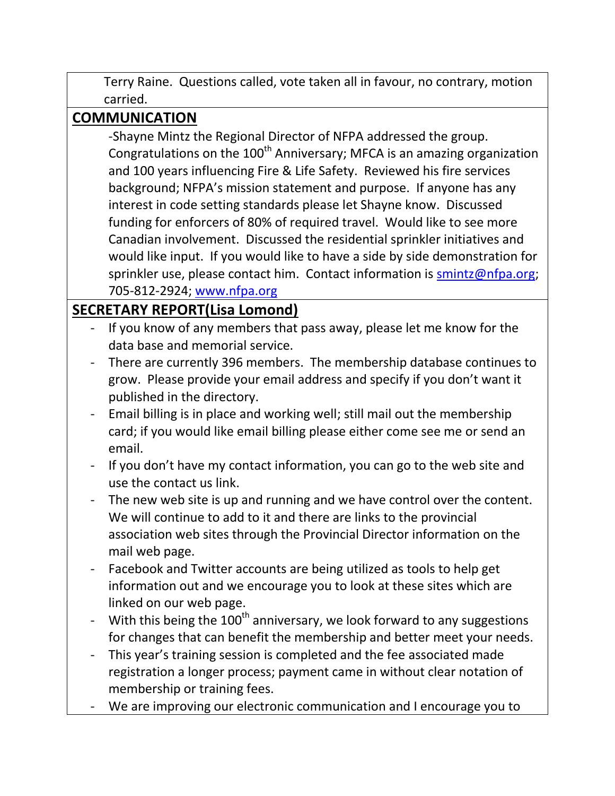Terry Raine. Questions called, vote taken all in favour, no contrary, motion carried.

## **COMMUNICATION**

-Shayne Mintz the Regional Director of NFPA addressed the group. Congratulations on the  $100<sup>th</sup>$  Anniversary; MFCA is an amazing organization and 100 years influencing Fire & Life Safety. Reviewed his fire services background; NFPA's mission statement and purpose. If anyone has any interest in code setting standards please let Shayne know. Discussed funding for enforcers of 80% of required travel. Would like to see more Canadian involvement. Discussed the residential sprinkler initiatives and would like input. If you would like to have a side by side demonstration for sprinkler use, please contact him. Contact information is [smintz@nfpa.org;](mailto:smintz@nfpa.org) 705-812-2924; [www.nfpa.org](http://www.nfpa.org/)

## **SECRETARY REPORT(Lisa Lomond)**

- If you know of any members that pass away, please let me know for the data base and memorial service.
- There are currently 396 members. The membership database continues to grow. Please provide your email address and specify if you don't want it published in the directory.
- Email billing is in place and working well; still mail out the membership card; if you would like email billing please either come see me or send an email.
- If you don't have my contact information, you can go to the web site and use the contact us link.
- The new web site is up and running and we have control over the content. We will continue to add to it and there are links to the provincial association web sites through the Provincial Director information on the mail web page.
- Facebook and Twitter accounts are being utilized as tools to help get information out and we encourage you to look at these sites which are linked on our web page.
- With this being the  $100<sup>th</sup>$  anniversary, we look forward to any suggestions for changes that can benefit the membership and better meet your needs.
- This year's training session is completed and the fee associated made registration a longer process; payment came in without clear notation of membership or training fees.
- We are improving our electronic communication and I encourage you to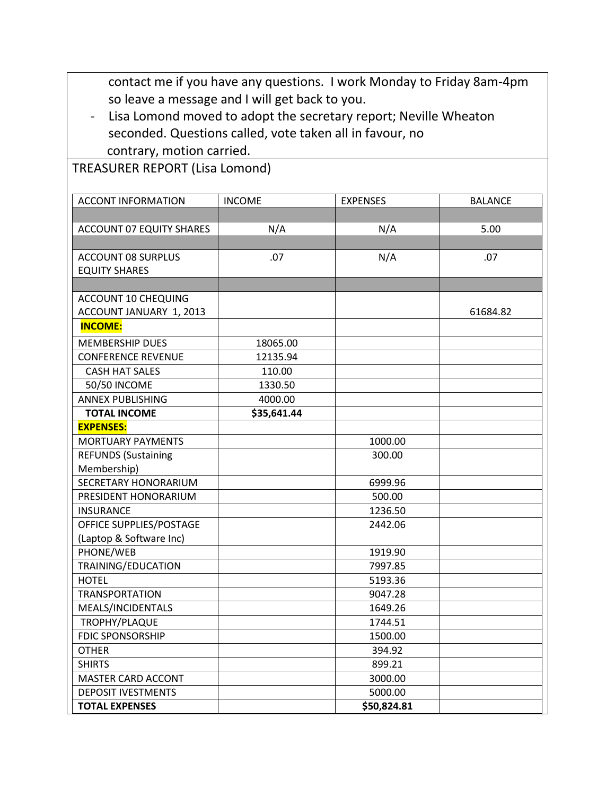contact me if you have any questions. I work Monday to Friday 8am-4pm so leave a message and I will get back to you.

- Lisa Lomond moved to adopt the secretary report; Neville Wheaton seconded. Questions called, vote taken all in favour, no contrary, motion carried.

TREASURER REPORT (Lisa Lomond)

| <b>ACCONT INFORMATION</b>       | <b>INCOME</b> | <b>EXPENSES</b> | <b>BALANCE</b> |
|---------------------------------|---------------|-----------------|----------------|
|                                 |               |                 |                |
| <b>ACCOUNT 07 EQUITY SHARES</b> | N/A           | N/A             | 5.00           |
|                                 |               |                 |                |
| <b>ACCOUNT 08 SURPLUS</b>       | .07           | N/A             | .07            |
| <b>EQUITY SHARES</b>            |               |                 |                |
|                                 |               |                 |                |
| <b>ACCOUNT 10 CHEQUING</b>      |               |                 |                |
| ACCOUNT JANUARY 1, 2013         |               |                 | 61684.82       |
| <b>INCOME:</b>                  |               |                 |                |
| <b>MEMBERSHIP DUES</b>          | 18065.00      |                 |                |
| <b>CONFERENCE REVENUE</b>       | 12135.94      |                 |                |
| <b>CASH HAT SALES</b>           | 110.00        |                 |                |
| <b>50/50 INCOME</b>             | 1330.50       |                 |                |
| <b>ANNEX PUBLISHING</b>         | 4000.00       |                 |                |
| <b>TOTAL INCOME</b>             | \$35,641.44   |                 |                |
| <b>EXPENSES:</b>                |               |                 |                |
| <b>MORTUARY PAYMENTS</b>        |               | 1000.00         |                |
| <b>REFUNDS (Sustaining</b>      |               | 300.00          |                |
| Membership)                     |               |                 |                |
| SECRETARY HONORARIUM            |               | 6999.96         |                |
| PRESIDENT HONORARIUM            |               | 500.00          |                |
| <b>INSURANCE</b>                |               | 1236.50         |                |
| OFFICE SUPPLIES/POSTAGE         |               | 2442.06         |                |
| (Laptop & Software Inc)         |               |                 |                |
| PHONE/WEB                       |               | 1919.90         |                |
| TRAINING/EDUCATION              |               | 7997.85         |                |
| <b>HOTEL</b>                    |               | 5193.36         |                |
| <b>TRANSPORTATION</b>           |               | 9047.28         |                |
| MEALS/INCIDENTALS               |               | 1649.26         |                |
| TROPHY/PLAQUE                   |               | 1744.51         |                |
| <b>FDIC SPONSORSHIP</b>         |               | 1500.00         |                |
| <b>OTHER</b>                    |               | 394.92          |                |
| <b>SHIRTS</b>                   |               | 899.21          |                |
| <b>MASTER CARD ACCONT</b>       |               | 3000.00         |                |
| <b>DEPOSIT IVESTMENTS</b>       |               | 5000.00         |                |
| <b>TOTAL EXPENSES</b>           |               | \$50,824.81     |                |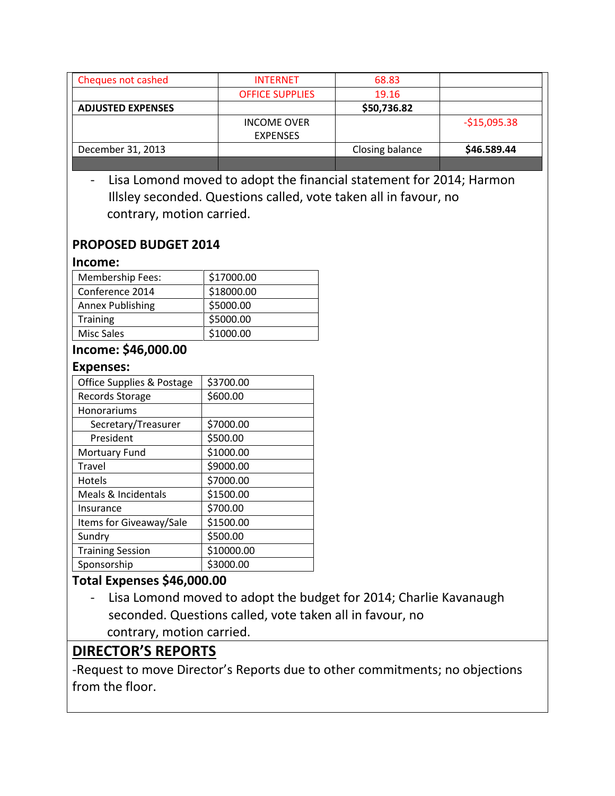| Cheques not cashed                                       | <b>INTERNET</b>                       | 68.83           |               |
|----------------------------------------------------------|---------------------------------------|-----------------|---------------|
|                                                          | <b>OFFICE SUPPLIES</b>                | 19.16           |               |
| <b>ADJUSTED EXPENSES</b>                                 |                                       | \$50,736.82     |               |
|                                                          | <b>INCOME OVER</b><br><b>EXPENSES</b> |                 | $-$15,095.38$ |
| December 31, 2013                                        |                                       | Closing balance | \$46.589.44   |
|                                                          |                                       |                 |               |
| contrary, motion carried.<br><b>PROPOSED BUDGET 2014</b> |                                       |                 |               |
| Income:                                                  |                                       |                 |               |
| <b>Membership Fees:</b>                                  | \$17000.00                            |                 |               |
| Conference 2014                                          | \$18000.00                            |                 |               |
| <b>Annex Publishing</b>                                  | \$5000.00                             |                 |               |
| <b>Training</b>                                          | \$5000.00                             |                 |               |
| <b>Misc Sales</b>                                        | \$1000.00                             |                 |               |
| Income: \$46,000.00                                      |                                       |                 |               |
| <b>Expenses:</b>                                         |                                       |                 |               |
| Office Supplies & Postage                                | \$3700.00                             |                 |               |
| Records Storage                                          | \$600.00                              |                 |               |

| $\sim$ . The supplies $\alpha$ , sstage |            |
|-----------------------------------------|------------|
| Records Storage                         | \$600.00   |
| Honorariums                             |            |
| Secretary/Treasurer                     | \$7000.00  |
| President                               | \$500.00   |
| <b>Mortuary Fund</b>                    | \$1000.00  |
| Travel                                  | \$9000.00  |
| Hotels                                  | \$7000.00  |
| Meals & Incidentals                     | \$1500.00  |
| Insurance                               | \$700.00   |
| Items for Giveaway/Sale                 | \$1500.00  |
| Sundry                                  | \$500.00   |
| <b>Training Session</b>                 | \$10000.00 |
| Sponsorship                             | \$3000.00  |

#### **Total Expenses \$46,000.00**

- Lisa Lomond moved to adopt the budget for 2014; Charlie Kavanaugh seconded. Questions called, vote taken all in favour, no contrary, motion carried.

### **DIRECTOR'S REPORTS**

-Request to move Director's Reports due to other commitments; no objections from the floor.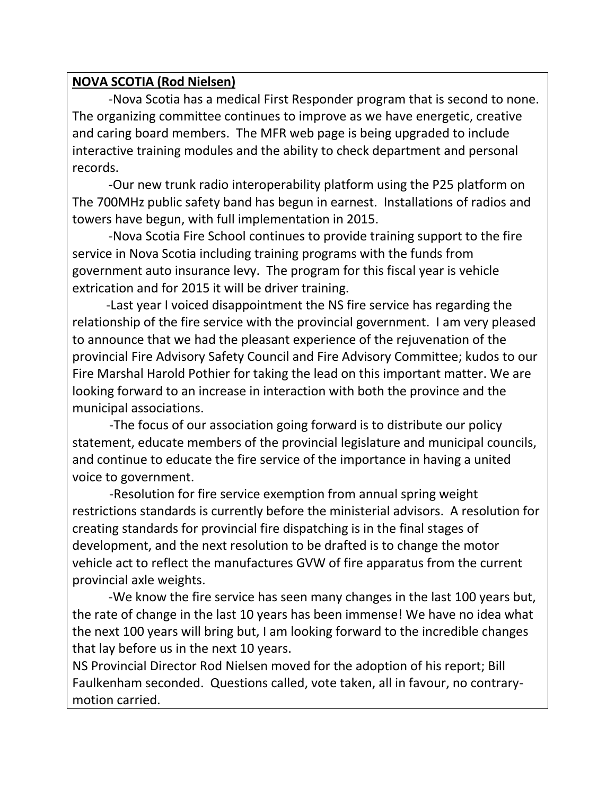#### **NOVA SCOTIA (Rod Nielsen)**

-Nova Scotia has a medical First Responder program that is second to none. The organizing committee continues to improve as we have energetic, creative and caring board members. The MFR web page is being upgraded to include interactive training modules and the ability to check department and personal records.

-Our new trunk radio interoperability platform using the P25 platform on The 700MHz public safety band has begun in earnest. Installations of radios and towers have begun, with full implementation in 2015.

-Nova Scotia Fire School continues to provide training support to the fire service in Nova Scotia including training programs with the funds from government auto insurance levy. The program for this fiscal year is vehicle extrication and for 2015 it will be driver training.

 -Last year I voiced disappointment the NS fire service has regarding the relationship of the fire service with the provincial government. I am very pleased to announce that we had the pleasant experience of the rejuvenation of the provincial Fire Advisory Safety Council and Fire Advisory Committee; kudos to our Fire Marshal Harold Pothier for taking the lead on this important matter. We are looking forward to an increase in interaction with both the province and the municipal associations.

 -The focus of our association going forward is to distribute our policy statement, educate members of the provincial legislature and municipal councils, and continue to educate the fire service of the importance in having a united voice to government.

 -Resolution for fire service exemption from annual spring weight restrictions standards is currently before the ministerial advisors. A resolution for creating standards for provincial fire dispatching is in the final stages of development, and the next resolution to be drafted is to change the motor vehicle act to reflect the manufactures GVW of fire apparatus from the current provincial axle weights.

-We know the fire service has seen many changes in the last 100 years but, the rate of change in the last 10 years has been immense! We have no idea what the next 100 years will bring but, I am looking forward to the incredible changes that lay before us in the next 10 years.

NS Provincial Director Rod Nielsen moved for the adoption of his report; Bill Faulkenham seconded. Questions called, vote taken, all in favour, no contrarymotion carried.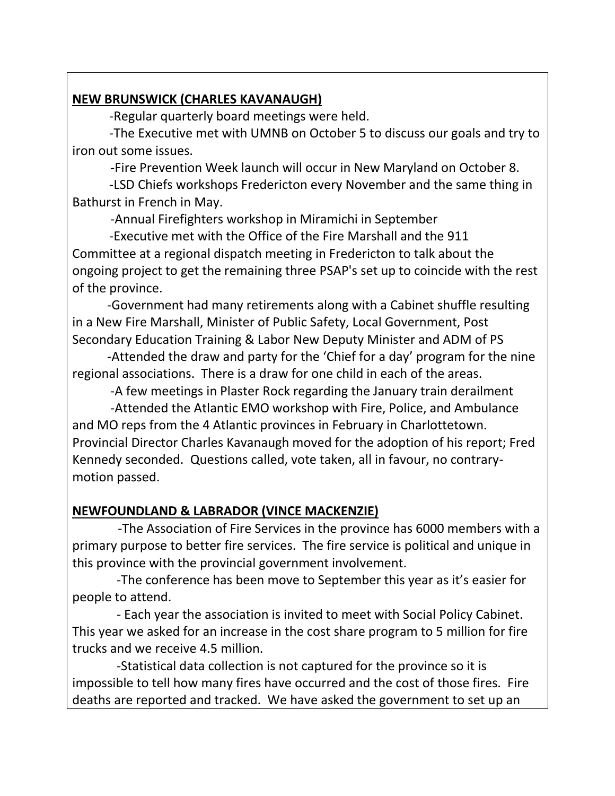#### **NEW BRUNSWICK (CHARLES KAVANAUGH)**

-Regular quarterly board meetings were held.

 -The Executive met with UMNB on October 5 to discuss our goals and try to iron out some issues.

-Fire Prevention Week launch will occur in New Maryland on October 8.

 -LSD Chiefs workshops Fredericton every November and the same thing in Bathurst in French in May.

-Annual Firefighters workshop in Miramichi in September

 -Executive met with the Office of the Fire Marshall and the 911 Committee at a regional dispatch meeting in Fredericton to talk about the ongoing project to get the remaining three PSAP's set up to coincide with the rest of the province.

 -Government had many retirements along with a Cabinet shuffle resulting in a New Fire Marshall, Minister of Public Safety, Local Government, Post Secondary Education Training & Labor New Deputy Minister and ADM of PS

 -Attended the draw and party for the 'Chief for a day' program for the nine regional associations. There is a draw for one child in each of the areas.

-A few meetings in Plaster Rock regarding the January train derailment

 -Attended the Atlantic EMO workshop with Fire, Police, and Ambulance and MO reps from the 4 Atlantic provinces in February in Charlottetown. Provincial Director Charles Kavanaugh moved for the adoption of his report; Fred Kennedy seconded. Questions called, vote taken, all in favour, no contrarymotion passed.

#### **NEWFOUNDLAND & LABRADOR (VINCE MACKENZIE)**

 -The Association of Fire Services in the province has 6000 members with a primary purpose to better fire services. The fire service is political and unique in this province with the provincial government involvement.

 -The conference has been move to September this year as it's easier for people to attend.

 - Each year the association is invited to meet with Social Policy Cabinet. This year we asked for an increase in the cost share program to 5 million for fire trucks and we receive 4.5 million.

 -Statistical data collection is not captured for the province so it is impossible to tell how many fires have occurred and the cost of those fires. Fire deaths are reported and tracked. We have asked the government to set up an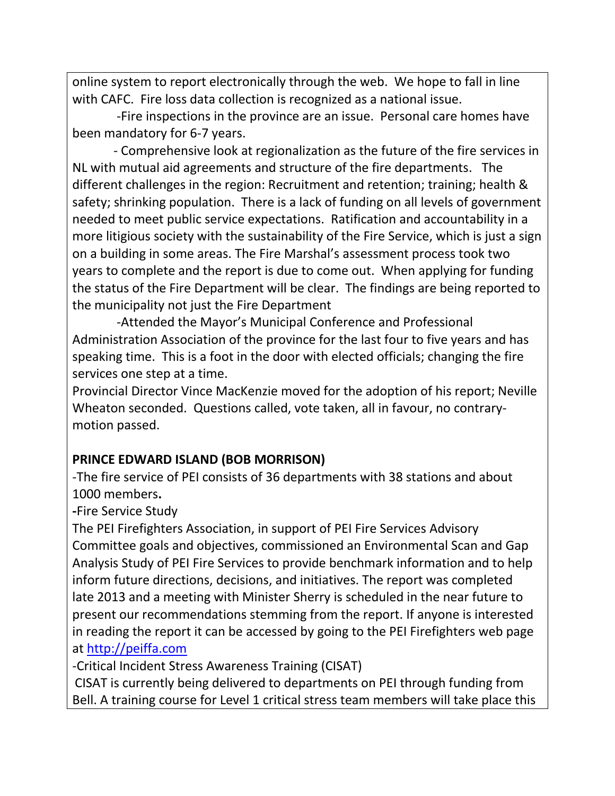online system to report electronically through the web. We hope to fall in line with CAFC. Fire loss data collection is recognized as a national issue.

 -Fire inspections in the province are an issue. Personal care homes have been mandatory for 6-7 years.

 - Comprehensive look at regionalization as the future of the fire services in NL with mutual aid agreements and structure of the fire departments. The different challenges in the region: Recruitment and retention; training; health & safety; shrinking population. There is a lack of funding on all levels of government needed to meet public service expectations. Ratification and accountability in a more litigious society with the sustainability of the Fire Service, which is just a sign on a building in some areas. The Fire Marshal's assessment process took two years to complete and the report is due to come out. When applying for funding the status of the Fire Department will be clear. The findings are being reported to the municipality not just the Fire Department

 -Attended the Mayor's Municipal Conference and Professional Administration Association of the province for the last four to five years and has speaking time. This is a foot in the door with elected officials; changing the fire services one step at a time.

Provincial Director Vince MacKenzie moved for the adoption of his report; Neville Wheaton seconded. Questions called, vote taken, all in favour, no contrarymotion passed.

### **PRINCE EDWARD ISLAND (BOB MORRISON)**

-The fire service of PEI consists of 36 departments with 38 stations and about 1000 members**.**

**-**Fire Service Study

The PEI Firefighters Association, in support of PEI Fire Services Advisory Committee goals and objectives, commissioned an Environmental Scan and Gap Analysis Study of PEI Fire Services to provide benchmark information and to help inform future directions, decisions, and initiatives. The report was completed late 2013 and a meeting with Minister Sherry is scheduled in the near future to present our recommendations stemming from the report. If anyone is interested in reading the report it can be accessed by going to the PEI Firefighters web page at [http://peiffa.com](http://peiffa.com/) 

-Critical Incident Stress Awareness Training (CISAT)

CISAT is currently being delivered to departments on PEI through funding from Bell. A training course for Level 1 critical stress team members will take place this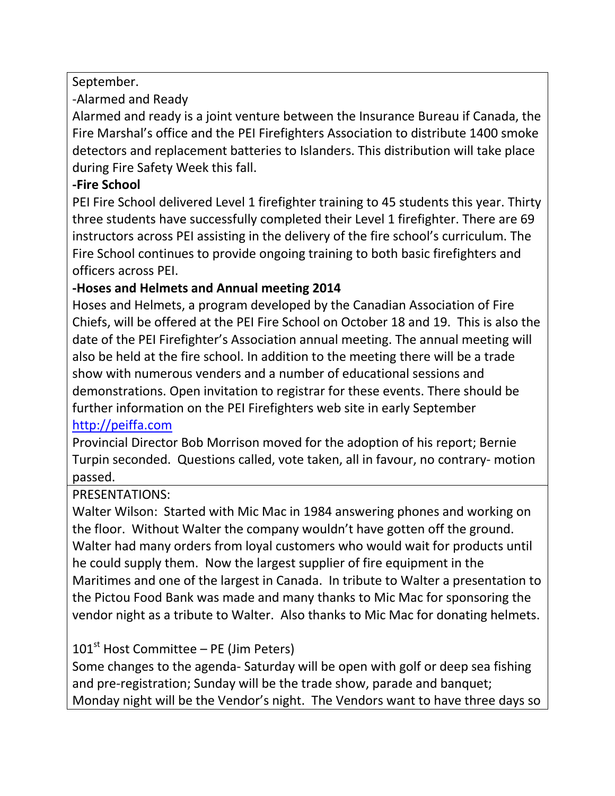September.

-Alarmed and Ready

Alarmed and ready is a joint venture between the Insurance Bureau if Canada, the Fire Marshal's office and the PEI Firefighters Association to distribute 1400 smoke detectors and replacement batteries to Islanders. This distribution will take place during Fire Safety Week this fall.

#### **-Fire School**

PEI Fire School delivered Level 1 firefighter training to 45 students this year. Thirty three students have successfully completed their Level 1 firefighter. There are 69 instructors across PEI assisting in the delivery of the fire school's curriculum. The Fire School continues to provide ongoing training to both basic firefighters and officers across PEI.

### **-Hoses and Helmets and Annual meeting 2014**

Hoses and Helmets, a program developed by the Canadian Association of Fire Chiefs, will be offered at the PEI Fire School on October 18 and 19. This is also the date of the PEI Firefighter's Association annual meeting. The annual meeting will also be held at the fire school. In addition to the meeting there will be a trade show with numerous venders and a number of educational sessions and demonstrations. Open invitation to registrar for these events. There should be further information on the PEI Firefighters web site in early September

### [http://peiffa.com](http://peiffa.com/)

Provincial Director Bob Morrison moved for the adoption of his report; Bernie Turpin seconded. Questions called, vote taken, all in favour, no contrary- motion passed.

### PRESENTATIONS:

Walter Wilson: Started with Mic Mac in 1984 answering phones and working on the floor. Without Walter the company wouldn't have gotten off the ground. Walter had many orders from loyal customers who would wait for products until he could supply them. Now the largest supplier of fire equipment in the Maritimes and one of the largest in Canada. In tribute to Walter a presentation to the Pictou Food Bank was made and many thanks to Mic Mac for sponsoring the vendor night as a tribute to Walter. Also thanks to Mic Mac for donating helmets.

### $101<sup>st</sup>$  Host Committee – PE (Jim Peters)

Some changes to the agenda- Saturday will be open with golf or deep sea fishing and pre-registration; Sunday will be the trade show, parade and banquet; Monday night will be the Vendor's night. The Vendors want to have three days so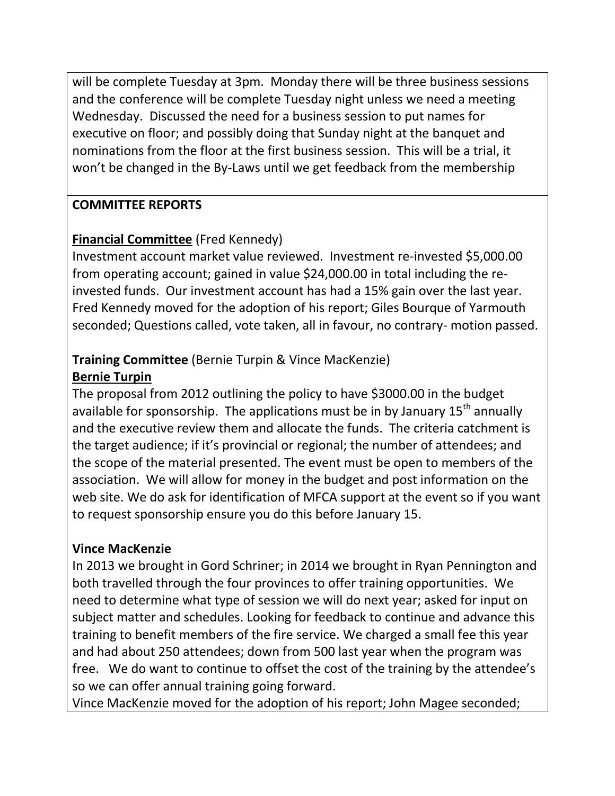will be complete Tuesday at 3pm. Monday there will be three business sessions and the conference will be complete Tuesday night unless we need a meeting Wednesday. Discussed the need for a business session to put names for executive on floor; and possibly doing that Sunday night at the banquet and nominations from the floor at the first business session. This will be a trial, it won't be changed in the By-Laws until we get feedback from the membership

#### **COMMITTEE REPORTS**

#### **Financial Committee** (Fred Kennedy)

Investment account market value reviewed. Investment re-invested \$5,000.00 from operating account; gained in value \$24,000.00 in total including the reinvested funds. Our investment account has had a 15% gain over the last year. Fred Kennedy moved for the adoption of his report; Giles Bourque of Yarmouth seconded; Questions called, vote taken, all in favour, no contrary- motion passed.

#### **Training Committee** (Bernie Turpin & Vince MacKenzie) **Bernie Turpin**

The proposal from 2012 outlining the policy to have \$3000.00 in the budget available for sponsorship. The applications must be in by January 15<sup>th</sup> annually and the executive review them and allocate the funds. The criteria catchment is the target audience; if it's provincial or regional; the number of attendees; and the scope of the material presented. The event must be open to members of the association. We will allow for money in the budget and post information on the web site. We do ask for identification of MFCA support at the event so if you want to request sponsorship ensure you do this before January 15.

#### **Vince MacKenzie**

In 2013 we brought in Gord Schriner; in 2014 we brought in Ryan Pennington and both travelled through the four provinces to offer training opportunities. We need to determine what type of session we will do next year; asked for input on subject matter and schedules. Looking for feedback to continue and advance this training to benefit members of the fire service. We charged a small fee this year and had about 250 attendees; down from 500 last year when the program was free. We do want to continue to offset the cost of the training by the attendee's so we can offer annual training going forward.

Vince MacKenzie moved for the adoption of his report; John Magee seconded;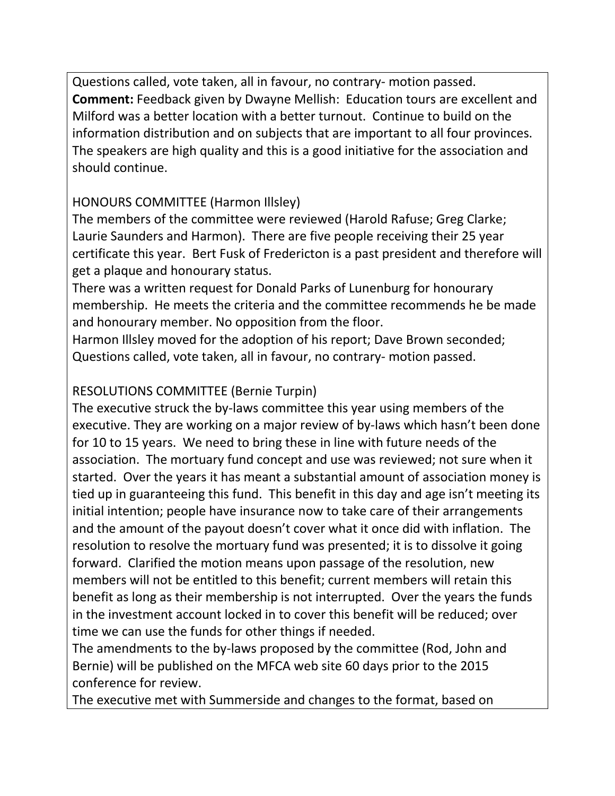Questions called, vote taken, all in favour, no contrary- motion passed. **Comment:** Feedback given by Dwayne Mellish: Education tours are excellent and Milford was a better location with a better turnout. Continue to build on the information distribution and on subjects that are important to all four provinces. The speakers are high quality and this is a good initiative for the association and should continue.

### HONOURS COMMITTEE (Harmon Illsley)

The members of the committee were reviewed (Harold Rafuse; Greg Clarke; Laurie Saunders and Harmon). There are five people receiving their 25 year certificate this year. Bert Fusk of Fredericton is a past president and therefore will get a plaque and honourary status.

There was a written request for Donald Parks of Lunenburg for honourary membership. He meets the criteria and the committee recommends he be made and honourary member. No opposition from the floor.

Harmon Illsley moved for the adoption of his report; Dave Brown seconded; Questions called, vote taken, all in favour, no contrary- motion passed.

## RESOLUTIONS COMMITTEE (Bernie Turpin)

The executive struck the by-laws committee this year using members of the executive. They are working on a major review of by-laws which hasn't been done for 10 to 15 years. We need to bring these in line with future needs of the association. The mortuary fund concept and use was reviewed; not sure when it started. Over the years it has meant a substantial amount of association money is tied up in guaranteeing this fund. This benefit in this day and age isn't meeting its initial intention; people have insurance now to take care of their arrangements and the amount of the payout doesn't cover what it once did with inflation. The resolution to resolve the mortuary fund was presented; it is to dissolve it going forward. Clarified the motion means upon passage of the resolution, new members will not be entitled to this benefit; current members will retain this benefit as long as their membership is not interrupted. Over the years the funds in the investment account locked in to cover this benefit will be reduced; over time we can use the funds for other things if needed.

The amendments to the by-laws proposed by the committee (Rod, John and Bernie) will be published on the MFCA web site 60 days prior to the 2015 conference for review.

The executive met with Summerside and changes to the format, based on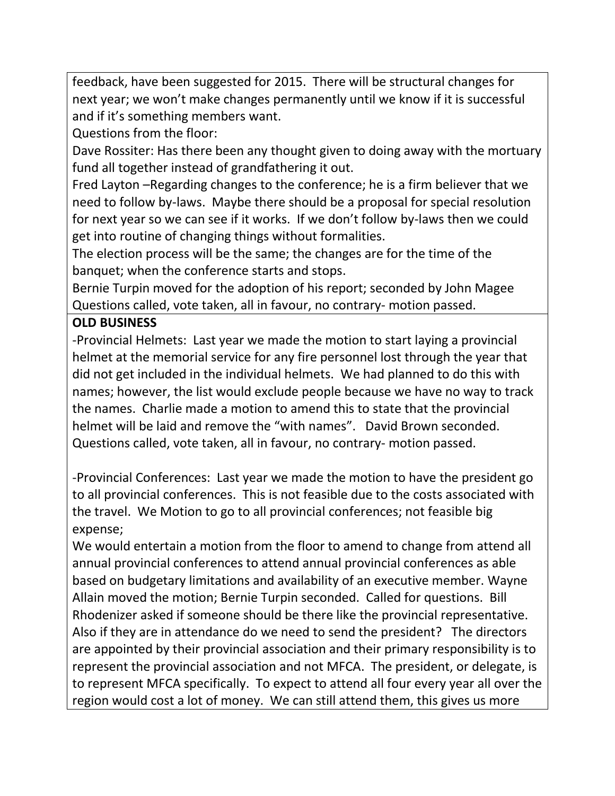feedback, have been suggested for 2015. There will be structural changes for next year; we won't make changes permanently until we know if it is successful and if it's something members want.

Questions from the floor:

Dave Rossiter: Has there been any thought given to doing away with the mortuary fund all together instead of grandfathering it out.

Fred Layton –Regarding changes to the conference; he is a firm believer that we need to follow by-laws. Maybe there should be a proposal for special resolution for next year so we can see if it works. If we don't follow by-laws then we could get into routine of changing things without formalities.

The election process will be the same; the changes are for the time of the banquet; when the conference starts and stops.

Bernie Turpin moved for the adoption of his report; seconded by John Magee Questions called, vote taken, all in favour, no contrary- motion passed.

#### **OLD BUSINESS**

-Provincial Helmets: Last year we made the motion to start laying a provincial helmet at the memorial service for any fire personnel lost through the year that did not get included in the individual helmets. We had planned to do this with names; however, the list would exclude people because we have no way to track the names. Charlie made a motion to amend this to state that the provincial helmet will be laid and remove the "with names". David Brown seconded. Questions called, vote taken, all in favour, no contrary- motion passed.

-Provincial Conferences: Last year we made the motion to have the president go to all provincial conferences. This is not feasible due to the costs associated with the travel. We Motion to go to all provincial conferences; not feasible big expense;

We would entertain a motion from the floor to amend to change from attend all annual provincial conferences to attend annual provincial conferences as able based on budgetary limitations and availability of an executive member. Wayne Allain moved the motion; Bernie Turpin seconded. Called for questions. Bill Rhodenizer asked if someone should be there like the provincial representative. Also if they are in attendance do we need to send the president? The directors are appointed by their provincial association and their primary responsibility is to represent the provincial association and not MFCA. The president, or delegate, is to represent MFCA specifically. To expect to attend all four every year all over the region would cost a lot of money. We can still attend them, this gives us more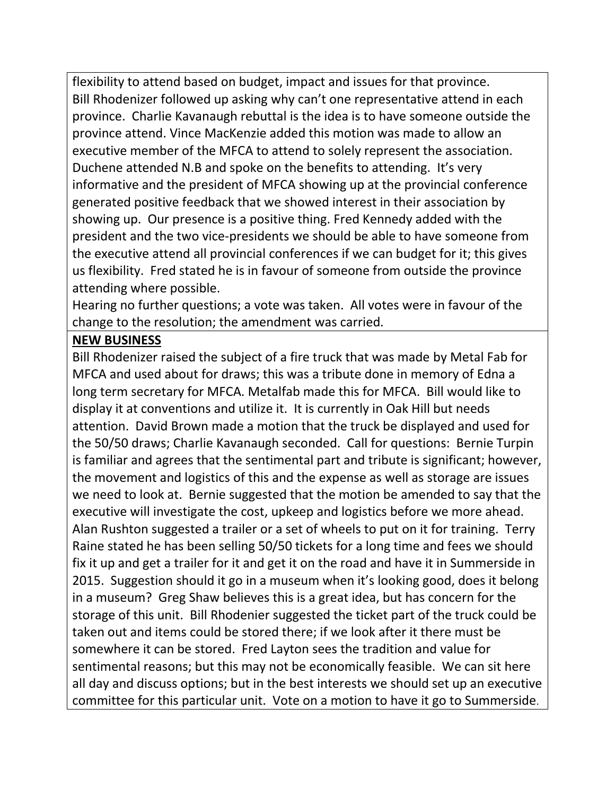flexibility to attend based on budget, impact and issues for that province. Bill Rhodenizer followed up asking why can't one representative attend in each province. Charlie Kavanaugh rebuttal is the idea is to have someone outside the province attend. Vince MacKenzie added this motion was made to allow an executive member of the MFCA to attend to solely represent the association. Duchene attended N.B and spoke on the benefits to attending. It's very informative and the president of MFCA showing up at the provincial conference generated positive feedback that we showed interest in their association by showing up. Our presence is a positive thing. Fred Kennedy added with the president and the two vice-presidents we should be able to have someone from the executive attend all provincial conferences if we can budget for it; this gives us flexibility. Fred stated he is in favour of someone from outside the province attending where possible.

Hearing no further questions; a vote was taken. All votes were in favour of the change to the resolution; the amendment was carried.

#### **NEW BUSINESS**

Bill Rhodenizer raised the subject of a fire truck that was made by Metal Fab for MFCA and used about for draws; this was a tribute done in memory of Edna a long term secretary for MFCA. Metalfab made this for MFCA. Bill would like to display it at conventions and utilize it. It is currently in Oak Hill but needs attention. David Brown made a motion that the truck be displayed and used for the 50/50 draws; Charlie Kavanaugh seconded. Call for questions: Bernie Turpin is familiar and agrees that the sentimental part and tribute is significant; however, the movement and logistics of this and the expense as well as storage are issues we need to look at. Bernie suggested that the motion be amended to say that the executive will investigate the cost, upkeep and logistics before we more ahead. Alan Rushton suggested a trailer or a set of wheels to put on it for training. Terry Raine stated he has been selling 50/50 tickets for a long time and fees we should fix it up and get a trailer for it and get it on the road and have it in Summerside in 2015. Suggestion should it go in a museum when it's looking good, does it belong in a museum? Greg Shaw believes this is a great idea, but has concern for the storage of this unit. Bill Rhodenier suggested the ticket part of the truck could be taken out and items could be stored there; if we look after it there must be somewhere it can be stored. Fred Layton sees the tradition and value for sentimental reasons; but this may not be economically feasible. We can sit here all day and discuss options; but in the best interests we should set up an executive committee for this particular unit. Vote on a motion to have it go to Summerside.